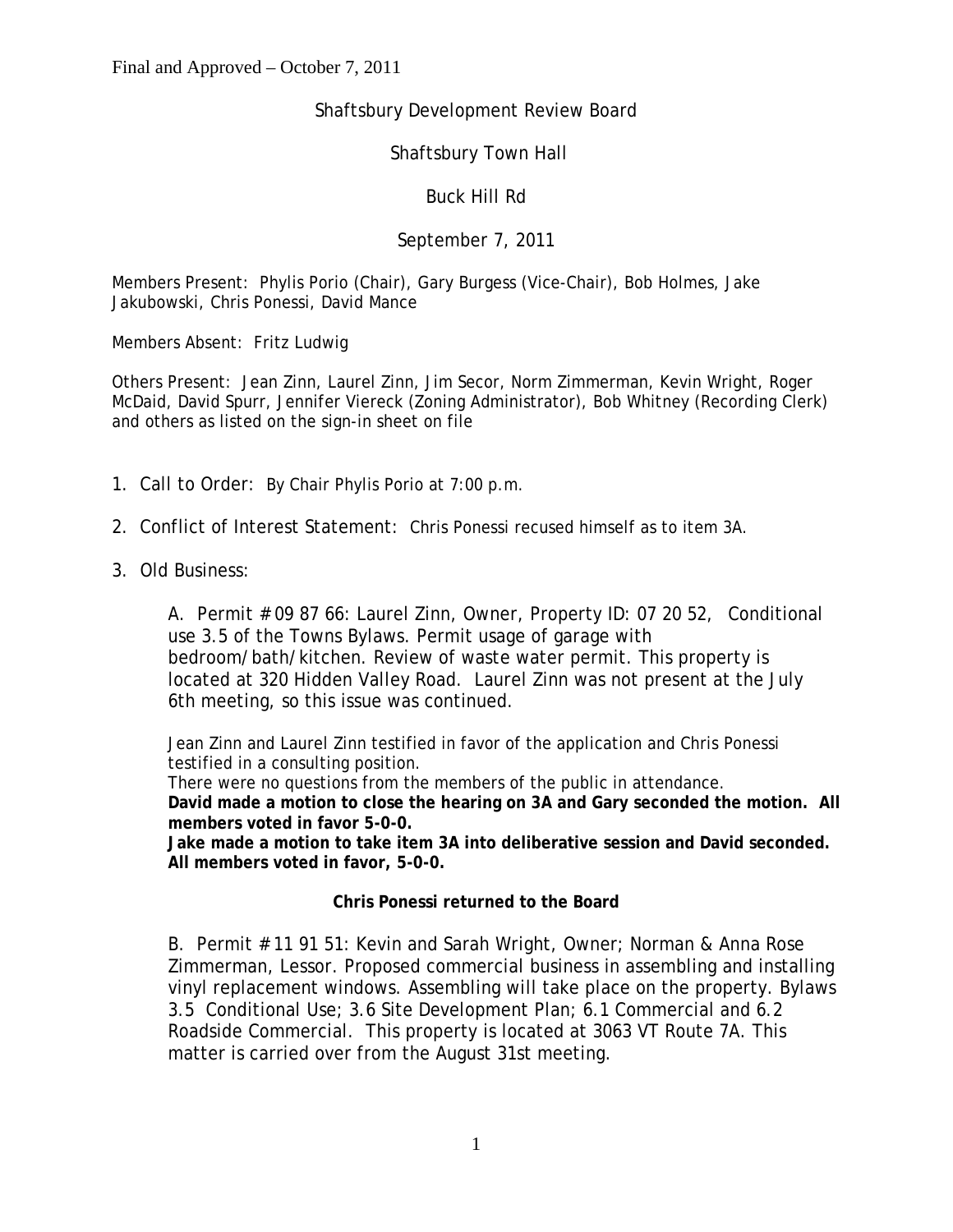# Shaftsbury Development Review Board

## Shaftsbury Town Hall

## Buck Hill Rd

## September 7, 2011

Members Present: Phylis Porio (Chair), Gary Burgess (Vice-Chair), Bob Holmes, Jake Jakubowski, Chris Ponessi, David Mance

Members Absent: Fritz Ludwig

Others Present: Jean Zinn, Laurel Zinn, Jim Secor, Norm Zimmerman, Kevin Wright, Roger McDaid, David Spurr, Jennifer Viereck (Zoning Administrator), Bob Whitney (Recording Clerk) and others as listed on the sign-in sheet on file

- 1. Call to Order: By Chair Phylis Porio at 7:00 p.m.
- 2. Conflict of Interest Statement: Chris Ponessi recused himself as to item 3A.
- 3. Old Business:

A. Permit # 09 87 66: Laurel Zinn, Owner, Property ID: 07 20 52, Conditional use 3.5 of the Towns Bylaws. Permit usage of garage with bedroom/bath/kitchen. Review of waste water permit. This property is located at 320 Hidden Valley Road. Laurel Zinn was not present at the July 6th meeting, so this issue was continued.

Jean Zinn and Laurel Zinn testified in favor of the application and Chris Ponessi testified in a consulting position.

There were no questions from the members of the public in attendance. **David made a motion to close the hearing on 3A and Gary seconded the motion. All members voted in favor 5-0-0.**

**Jake made a motion to take item 3A into deliberative session and David seconded. All members voted in favor, 5-0-0.** 

#### **Chris Ponessi returned to the Board**

B. Permit # 11 91 51: Kevin and Sarah Wright, Owner; Norman & Anna Rose Zimmerman, Lessor. Proposed commercial business in assembling and installing vinyl replacement windows. Assembling will take place on the property. Bylaws 3.5 Conditional Use; 3.6 Site Development Plan; 6.1 Commercial and 6.2 Roadside Commercial. This property is located at 3063 VT Route 7A. This matter is carried over from the August 31st meeting.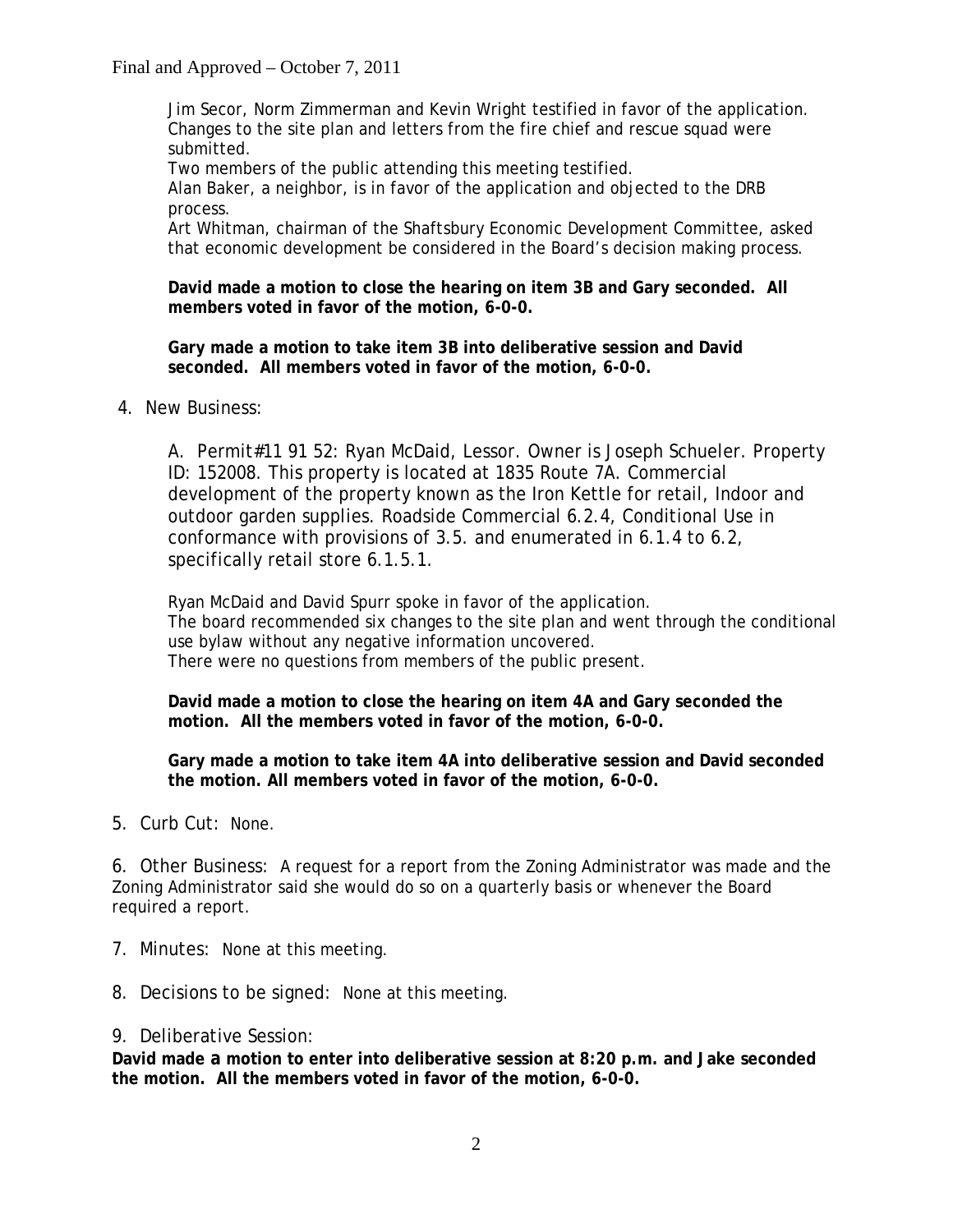Final and Approved – October 7, 2011

Jim Secor, Norm Zimmerman and Kevin Wright testified in favor of the application. Changes to the site plan and letters from the fire chief and rescue squad were submitted.

Two members of the public attending this meeting testified.

Alan Baker, a neighbor, is in favor of the application and objected to the DRB process.

Art Whitman, chairman of the Shaftsbury Economic Development Committee, asked that economic development be considered in the Board's decision making process.

**David made a motion to close the hearing on item 3B and Gary seconded. All members voted in favor of the motion, 6-0-0.**

**Gary made a motion to take item 3B into deliberative session and David seconded. All members voted in favor of the motion, 6-0-0.**

4. New Business:

A. Permit#11 91 52: Ryan McDaid, Lessor. Owner is Joseph Schueler. Property ID: 152008. This property is located at 1835 Route 7A. Commercial development of the property known as the Iron Kettle for retail, Indoor and outdoor garden supplies. Roadside Commercial 6.2.4, Conditional Use in conformance with provisions of 3.5. and enumerated in 6.1.4 to 6.2, specifically retail store 6.1.5.1.

Ryan McDaid and David Spurr spoke in favor of the application. The board recommended six changes to the site plan and went through the conditional use bylaw without any negative information uncovered. There were no questions from members of the public present.

**David made a motion to close the hearing on item 4A and Gary seconded the motion. All the members voted in favor of the motion, 6-0-0.**

**Gary made a motion to take item 4A into deliberative session and David seconded the motion. All members voted in favor of the motion, 6-0-0.** 

5. Curb Cut: None.

6. Other Business: A request for a report from the Zoning Administrator was made and the Zoning Administrator said she would do so on a quarterly basis or whenever the Board required a report.

- 7. Minutes: None at this meeting.
- 8. Decisions to be signed: None at this meeting.
- 9. Deliberative Session:

**David made a motion to enter into deliberative session at 8:20 p.m. and Jake seconded the motion. All the members voted in favor of the motion, 6-0-0.**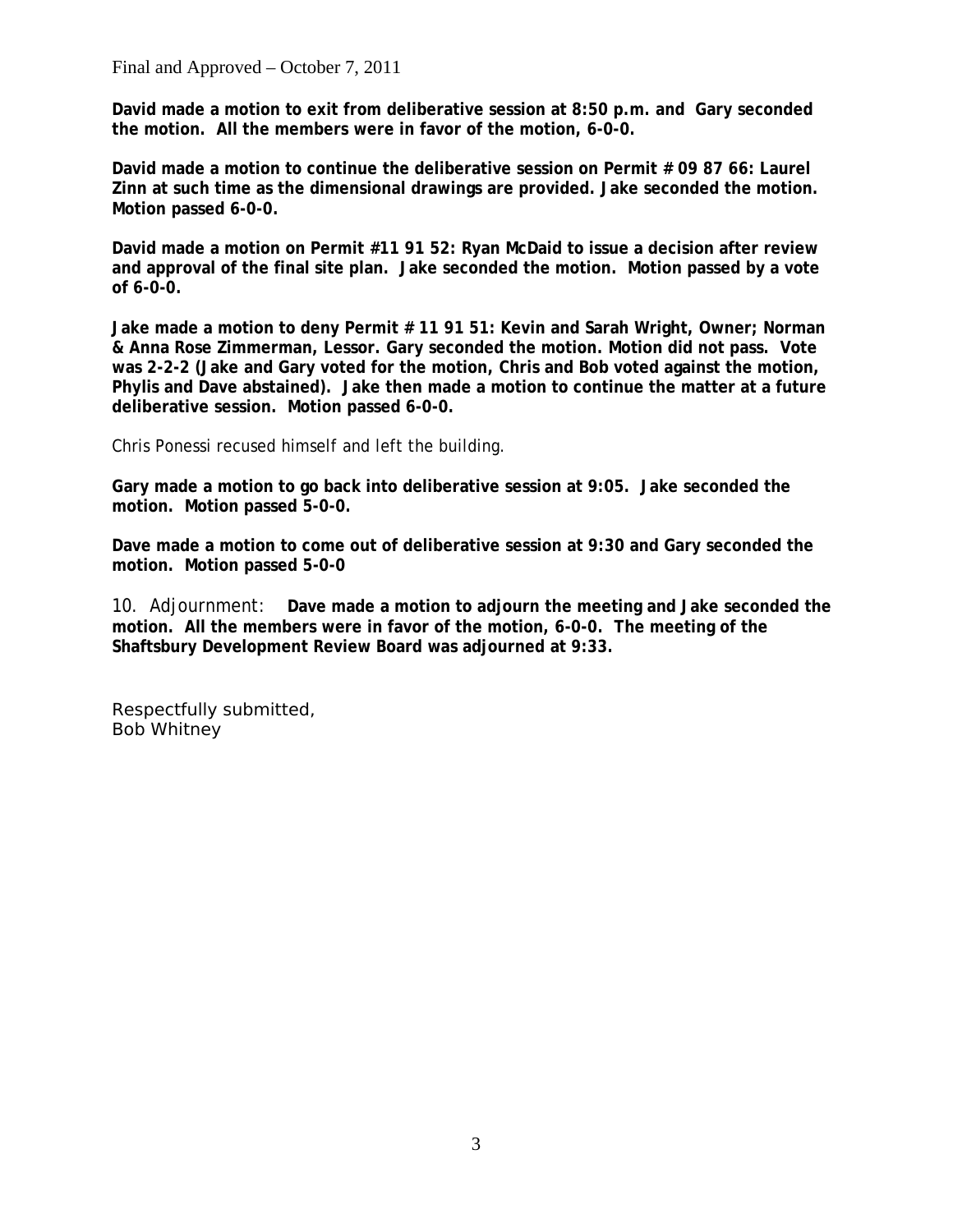Final and Approved – October 7, 2011

**David made a motion to exit from deliberative session at 8:50 p.m. and Gary seconded the motion. All the members were in favor of the motion, 6-0-0.** 

**David made a motion to continue the deliberative session on Permit # 09 87 66: Laurel Zinn at such time as the dimensional drawings are provided. Jake seconded the motion. Motion passed 6-0-0.**

**David made a motion on Permit #11 91 52: Ryan McDaid to issue a decision after review and approval of the final site plan. Jake seconded the motion. Motion passed by a vote of 6-0-0.**

**Jake made a motion to deny Permit # 11 91 51: Kevin and Sarah Wright, Owner; Norman & Anna Rose Zimmerman, Lessor. Gary seconded the motion. Motion did not pass. Vote was 2-2-2 (Jake and Gary voted for the motion, Chris and Bob voted against the motion, Phylis and Dave abstained). Jake then made a motion to continue the matter at a future deliberative session. Motion passed 6-0-0.**

Chris Ponessi recused himself and left the building.

**Gary made a motion to go back into deliberative session at 9:05. Jake seconded the motion. Motion passed 5-0-0.**

**Dave made a motion to come out of deliberative session at 9:30 and Gary seconded the motion. Motion passed 5-0-0**

10. Adjournment: **Dave made a motion to adjourn the meeting and Jake seconded the motion. All the members were in favor of the motion, 6-0-0. The meeting of the Shaftsbury Development Review Board was adjourned at 9:33.**

Respectfully submitted, Bob Whitney